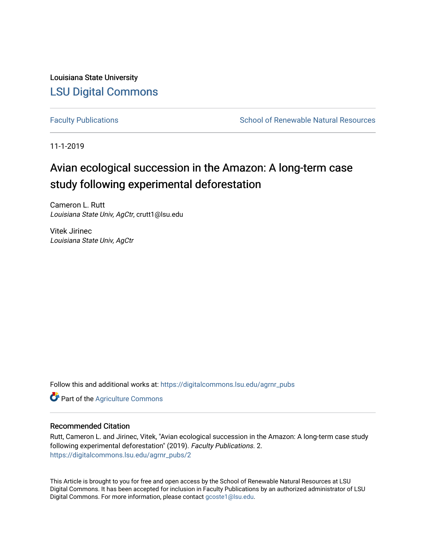Louisiana State University [LSU Digital Commons](https://digitalcommons.lsu.edu/)

[Faculty Publications](https://digitalcommons.lsu.edu/agrnr_pubs) **School of Renewable Natural Resources** School of Renewable Natural Resources

11-1-2019

# Avian ecological succession in the Amazon: A long-term case study following experimental deforestation

Cameron L. Rutt Louisiana State Univ, AgCtr, crutt1@lsu.edu

Vitek Jirinec Louisiana State Univ, AgCtr

Follow this and additional works at: [https://digitalcommons.lsu.edu/agrnr\\_pubs](https://digitalcommons.lsu.edu/agrnr_pubs?utm_source=digitalcommons.lsu.edu%2Fagrnr_pubs%2F2&utm_medium=PDF&utm_campaign=PDFCoverPages) 

**Part of the [Agriculture Commons](http://network.bepress.com/hgg/discipline/1076?utm_source=digitalcommons.lsu.edu%2Fagrnr_pubs%2F2&utm_medium=PDF&utm_campaign=PDFCoverPages)** 

# Recommended Citation

Rutt, Cameron L. and Jirinec, Vitek, "Avian ecological succession in the Amazon: A long-term case study following experimental deforestation" (2019). Faculty Publications. 2. [https://digitalcommons.lsu.edu/agrnr\\_pubs/2](https://digitalcommons.lsu.edu/agrnr_pubs/2?utm_source=digitalcommons.lsu.edu%2Fagrnr_pubs%2F2&utm_medium=PDF&utm_campaign=PDFCoverPages) 

This Article is brought to you for free and open access by the School of Renewable Natural Resources at LSU Digital Commons. It has been accepted for inclusion in Faculty Publications by an authorized administrator of LSU Digital Commons. For more information, please contact [gcoste1@lsu.edu.](mailto:gcoste1@lsu.edu)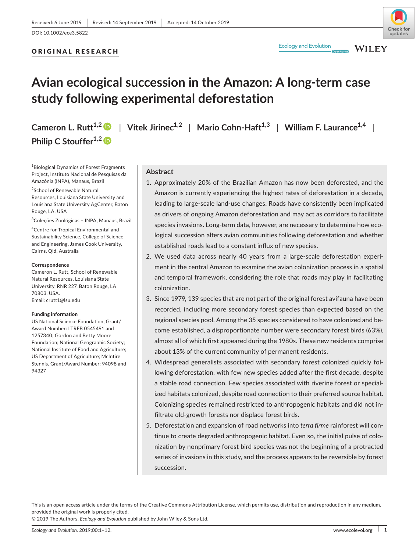# ORIGINAL RESEARCH



**WILEY** 

# **Avian ecological succession in the Amazon: A long‐term case study following experimental deforestation**

**Cameron L. Rutt<sup>1,[2](https://orcid.org/0000-0003-4689-1294)</sup>**  $\bullet$  **| Vitek Jirinec<sup>1,2</sup> | Mario Cohn-Haft<sup>1,3</sup> | William F. Laurance<sup>1,4</sup> | Philip C Stouffer**<sup>1,2</sup>

1 Biological Dynamics of Forest Fragments Project, Instituto Nacional de Pesquisas da Amazônia (INPA), Manaus, Brazil

2 School of Renewable Natural Resources, Louisiana State University and Louisiana State University AgCenter, Baton Rouge, LA, USA

3 Coleções Zoológicas – INPA, Manaus, Brazil

4 Centre for Tropical Environmental and Sustainability Science, College of Science and Engineering, James Cook University, Cairns, Qld, Australia

#### **Correspondence**

Cameron L. Rutt, School of Renewable Natural Resources, Louisiana State University, RNR 227, Baton Rouge, LA 70803, USA. Email: [crutt1@lsu.edu](mailto:crutt1@lsu.edu)

#### **Funding information**

US National Science Foundation, Grant/ Award Number: LTREB 0545491 and 1257340; Gordon and Betty Moore Foundation; National Geographic Society; National Institute of Food and Agriculture; US Department of Agriculture; McIntire Stennis, Grant/Award Number: 94098 and 94327

## **Abstract**

- 1. Approximately 20% of the Brazilian Amazon has now been deforested, and the Amazon is currently experiencing the highest rates of deforestation in a decade, leading to large‐scale land‐use changes. Roads have consistently been implicated as drivers of ongoing Amazon deforestation and may act as corridors to facilitate species invasions. Long-term data, however, are necessary to determine how ecological succession alters avian communities following deforestation and whether established roads lead to a constant influx of new species.
- 2. We used data across nearly 40 years from a large-scale deforestation experiment in the central Amazon to examine the avian colonization process in a spatial and temporal framework, considering the role that roads may play in facilitating colonization.
- 3. Since 1979, 139 species that are not part of the original forest avifauna have been recorded, including more secondary forest species than expected based on the regional species pool. Among the 35 species considered to have colonized and be‐ come established, a disproportionate number were secondary forest birds (63%), almost all of which first appeared during the 1980s. These new residents comprise about 13% of the current community of permanent residents.
- 4. Widespread generalists associated with secondary forest colonized quickly following deforestation, with few new species added after the first decade, despite a stable road connection. Few species associated with riverine forest or special‐ ized habitats colonized, despite road connection to their preferred source habitat. Colonizing species remained restricted to anthropogenic habitats and did not in‐ filtrate old‐growth forests nor displace forest birds.
- 5. Deforestation and expansion of road networks into *terra firme* rainforest will continue to create degraded anthropogenic habitat. Even so, the initial pulse of colo‐ nization by nonprimary forest bird species was not the beginning of a protracted series of invasions in this study, and the process appears to be reversible by forest succession.

This is an open access article under the terms of the Creative Commons [Attribution](http://creativecommons.org/licenses/by/4.0/) License, which permits use, distribution and reproduction in any medium, provided the original work is properly cited.

© 2019 The Authors. *Ecology and Evolution* published by John Wiley & Sons Ltd.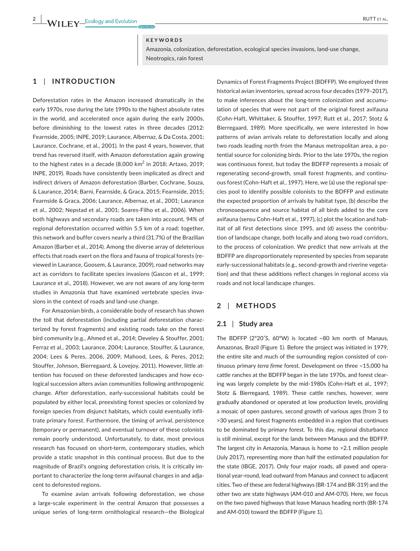#### **KEYWORDS**

Amazonia, colonization, deforestation, ecological species invasions, land‐use change, Neotropics, rain forest

# **1** | **INTRODUCTION**

Deforestation rates in the Amazon increased dramatically in the early 1970s, rose during the late 1990s to the highest absolute rates in the world, and accelerated once again during the early 2000s, before diminishing to the lowest rates in three decades (2012: Fearnside, 2005; INPE, 2019; Laurance, Albernaz, & Da Costa, 2001; Laurance, Cochrane, et al., 2001). In the past 4 years, however, that trend has reversed itself, with Amazon deforestation again growing to the highest rates in a decade  $(8,000 \text{ km}^2 \text{ in } 2018; \text{ Artaxo}, 2019; \text{$ INPE, 2019). Roads have consistently been implicated as direct and indirect drivers of Amazon deforestation (Barber, Cochrane, Souza, & Laurance, 2014; Barni, Fearnside, & Graca, 2015; Fearnside, 2015; Fearnside & Graca, 2006; Laurance, Albernaz, et al., 2001; Laurance et al., 2002; Nepstad et al., 2001; Soares‐Filho et al., 2006). When both highways and secondary roads are taken into account, 94% of regional deforestation occurred within 5.5 km of a road; together, this network and buffer covers nearly a third (31.7%) of the Brazilian Amazon (Barber et al., 2014). Among the diverse array of deleterious effects that roads exert on the flora and fauna of tropical forests (re‐ viewed in Laurance, Goosem, & Laurance, 2009), road networks may act as corridors to facilitate species invasions (Gascon et al., 1999; Laurance et al., 2018). However, we are not aware of any long-term studies in Amazonia that have examined vertebrate species inva‐ sions in the context of roads and land‐use change.

For Amazonian birds, a considerable body of research has shown the toll that deforestation (including partial deforestation charac‐ terized by forest fragments) and existing roads take on the forest bird community (e.g., Ahmed et al., 2014; Develey & Stouffer, 2001; Ferraz et al., 2003; Laurance, 2004; Laurance, Stouffer, & Laurance, 2004; Lees & Peres, 2006, 2009; Mahood, Lees, & Peres, 2012; Stouffer, Johnson, Bierregaard, & Lovejoy, 2011). However, little at‐ tention has focused on these deforested landscapes and how ecological succession alters avian communities following anthropogenic change. After deforestation, early‐successional habitats could be populated by either local, preexisting forest species or colonized by foreign species from disjunct habitats, which could eventually infil‐ trate primary forest. Furthermore, the timing of arrival, persistence (temporary or permanent), and eventual turnover of these colonists remain poorly understood. Unfortunately, to date, most previous research has focused on short-term, contemporary studies, which provide a static snapshot in this continual process. But due to the magnitude of Brazil's ongoing deforestation crisis, it is critically im‐ portant to characterize the long-term avifaunal changes in and adjacent to deforested regions.

To examine avian arrivals following deforestation, we chose a large‐scale experiment in the central Amazon that possesses a unique series of long‐term ornithological research—the Biological

Dynamics of Forest Fragments Project (BDFFP). We employed three historical avian inventories, spread across four decades (1979–2017), to make inferences about the long-term colonization and accumulation of species that were not part of the original forest avifauna (Cohn‐Haft, Whittaker, & Stouffer, 1997; Rutt et al., 2017; Stotz & Bierregaard, 1989). More specifically, we were interested in how patterns of avian arrivals relate to deforestation locally and along two roads leading north from the Manaus metropolitan area, a po‐ tential source for colonizing birds. Prior to the late 1970s, the region was continuous forest, but today the BDFFP represents a mosaic of regenerating second‐growth, small forest fragments, and continu‐ ous forest (Cohn‐Haft et al., 1997). Here, we (a) use the regional spe‐ cies pool to identify possible colonists to the BDFFP and estimate the expected proportion of arrivals by habitat type, (b) describe the chronosequence and source habitat of all birds added to the core avifauna (sensu Cohn-Haft et al., 1997), (c) plot the location and habitat of all first detections since 1995, and (d) assess the contribution of landscape change, both locally and along two road corridors, to the process of colonization. We predict that new arrivals at the BDFFP are disproportionately represented by species from separate early-successional habitats (e.g., second-growth and riverine vegetation) and that these additions reflect changes in regional access via roads and not local landscape changes.

## **2** | **METHODS**

## **2.1** | **Study area**

The BDFFP (2°20′S, 60°W) is located ~80 km north of Manaus, Amazonas, Brazil (Figure 1). Before the project was initiated in 1979, the entire site and much of the surrounding region consisted of con‐ tinuous primary *terra firme* forest. Development on three ~15,000 ha cattle ranches at the BDFFP began in the late 1970s, and forest clear‐ ing was largely complete by the mid‐1980s (Cohn‐Haft et al., 1997; Stotz & Bierregaard, 1989). These cattle ranches, however, were gradually abandoned or operated at low production levels, providing a mosaic of open pastures, second growth of various ages (from 3 to >30 years), and forest fragments embedded in a region that continues to be dominated by primary forest. To this day, regional disturbance is still minimal, except for the lands between Manaus and the BDFFP. The largest city in Amazonia, Manaus is home to >2.1 million people (July 2017), representing more than half the estimated population for the state (IBGE, 2017). Only four major roads, all paved and opera‐ tional year‐round, lead outward from Manaus and connect to adjacent cities. Two of these are federal highways (BR‐174 and BR‐319) and the other two are state highways (AM‐010 and AM‐070). Here, we focus on the two paved highways that leave Manaus heading north (BR‐174 and AM‐010) toward the BDFFP (Figure 1).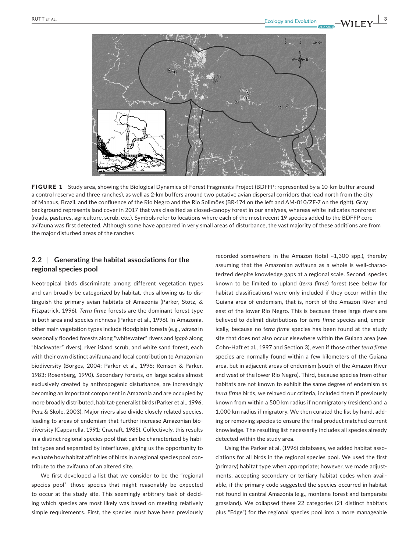

FIGURE 1 Study area, showing the Biological Dynamics of Forest Fragments Project (BDFFP; represented by a 10-km buffer around a control reserve and three ranches), as well as 2-km buffers around two putative avian dispersal corridors that lead north from the city of Manaus, Brazil, and the confluence of the Rio Negro and the Rio Solimões (BR‐174 on the left and AM‐010/ZF‐7 on the right). Gray background represents land cover in 2017 that was classified as closed‐canopy forest in our analyses, whereas white indicates nonforest (roads, pastures, agriculture, scrub, etc.). Symbols refer to locations where each of the most recent 19 species added to the BDFFP core avifauna was first detected. Although some have appeared in very small areas of disturbance, the vast majority of these additions are from the major disturbed areas of the ranches

# **2.2** | **Generating the habitat associations for the regional species pool**

Neotropical birds discriminate among different vegetation types and can broadly be categorized by habitat, thus allowing us to dis‐ tinguish the primary avian habitats of Amazonia (Parker, Stotz, & Fitzpatrick, 1996). *Terra firme* forests are the dominant forest type in both area and species richness (Parker et al., 1996). In Amazonia, other main vegetation types include floodplain forests (e.g., *várzea* in seasonally flooded forests along "whitewater" rivers and *igapó* along "blackwater" rivers), river island scrub, and white sand forest, each with their own distinct avifauna and local contribution to Amazonian biodiversity (Borges, 2004; Parker et al., 1996; Remsen & Parker, 1983; Rosenberg, 1990). Secondary forests, on large scales almost exclusively created by anthropogenic disturbance, are increasingly becoming an important component in Amazonia and are occupied by more broadly distributed, habitat‐generalist birds (Parker et al., 1996; Perz & Skole, 2003). Major rivers also divide closely related species, leading to areas of endemism that further increase Amazonian bio‐ diversity (Capparella, 1991; Cracraft, 1985). Collectively, this results in a distinct regional species pool that can be characterized by habi‐ tat types and separated by interfluves, giving us the opportunity to evaluate how habitat affinities of birds in a regional species pool con‐ tribute to the avifauna of an altered site.

We first developed a list that we consider to be the "regional species pool"—those species that might reasonably be expected to occur at the study site. This seemingly arbitrary task of decid‐ ing which species are most likely was based on meeting relatively simple requirements. First, the species must have been previously recorded somewhere in the Amazon (total ~1,300 spp.), thereby assuming that the Amazonian avifauna as a whole is well-characterized despite knowledge gaps at a regional scale. Second, species known to be limited to upland (*terra firme*) forest (see below for habitat classifications) were only included if they occur within the Guiana area of endemism, that is, north of the Amazon River and east of the lower Rio Negro. This is because these large rivers are believed to delimit distributions for *terra firme* species and, empir‐ ically, because no *terra firme* species has been found at the study site that does not also occur elsewhere within the Guiana area (see Cohn‐Haft et al., 1997 and Section 3), even if those other *terra firme* species are normally found within a few kilometers of the Guiana area, but in adjacent areas of endemism (south of the Amazon River and west of the lower Rio Negro). Third, because species from other habitats are not known to exhibit the same degree of endemism as *terra firme* birds, we relaxed our criteria, included them if previously known from within a 500 km radius if nonmigratory (resident) and a 1,000 km radius if migratory. We then curated the list by hand, add‐ ing or removing species to ensure the final product matched current knowledge. The resulting list necessarily includes all species already detected within the study area.

Using the Parker et al. (1996) databases, we added habitat associations for all birds in the regional species pool. We used the first (primary) habitat type when appropriate; however, we made adjust‐ ments, accepting secondary or tertiary habitat codes when avail‐ able, if the primary code suggested the species occurred in habitat not found in central Amazonia (e.g., montane forest and temperate grassland). We collapsed these 22 categories (21 distinct habitats plus "Edge") for the regional species pool into a more manageable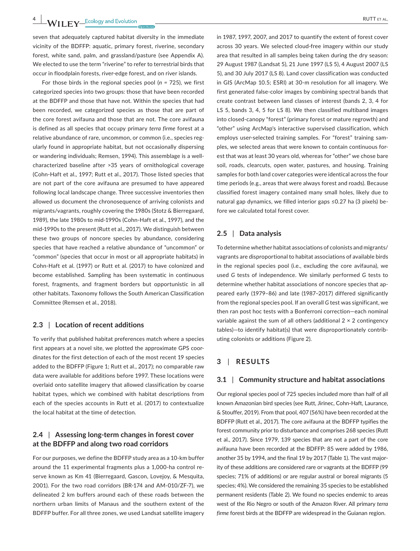seven that adequately captured habitat diversity in the immediate vicinity of the BDFFP: aquatic, primary forest, riverine, secondary forest, white sand, palm, and grassland/pasture (see Appendix A). We elected to use the term "riverine" to refer to terrestrial birds that occur in floodplain forests, river‐edge forest, and on river islands.

For those birds in the regional species pool (*n =* 725), we first categorized species into two groups: those that have been recorded at the BDFFP and those that have not. Within the species that had been recorded, we categorized species as those that are part of the core forest avifauna and those that are not. The core avifauna is defined as all species that occupy primary *terra firme* forest at a relative abundance of rare, uncommon, or common (i.e., species reg‐ ularly found in appropriate habitat, but not occasionally dispersing or wandering individuals; Remsen, 1994). This assemblage is a well‐ characterized baseline after >35 years of ornithological coverage (Cohn‐Haft et al., 1997; Rutt et al., 2017). Those listed species that are not part of the core avifauna are presumed to have appeared following local landscape change. Three successive inventories then allowed us document the chronosequence of arriving colonists and migrants/vagrants, roughly covering the 1980s (Stotz & Bierregaard, 1989), the late 1980s to mid‐1990s (Cohn‐Haft et al., 1997), and the mid‐1990s to the present (Rutt et al., 2017). We distinguish between these two groups of noncore species by abundance, considering species that have reached a relative abundance of "uncommon" or "common" (species that occur in most or all appropriate habitats) in Cohn‐Haft et al. (1997) or Rutt et al. (2017) to have colonized and become established. Sampling has been systematic in continuous forest, fragments, and fragment borders but opportunistic in all other habitats. Taxonomy follows the South American Classification Committee (Remsen et al., 2018).

## **2.3** | **Location of recent additions**

To verify that published habitat preferences match where a species first appears at a novel site, we plotted the approximate GPS coordinates for the first detection of each of the most recent 19 species added to the BDFFP (Figure 1; Rutt et al., 2017); no comparable raw data were available for additions before 1997. These locations were overlaid onto satellite imagery that allowed classification by coarse habitat types, which we combined with habitat descriptions from each of the species accounts in Rutt et al. (2017) to contextualize the local habitat at the time of detection.

# **2.4** | **Assessing long‐term changes in forest cover at the BDFFP and along two road corridors**

For our purposes, we define the BDFFP study area as a 10‐km buffer around the 11 experimental fragments plus a 1,000‐ha control re‐ serve known as Km 41 (Bierregaard, Gascon, Lovejoy, & Mesquita, 2001). For the two road corridors (BR‐174 and AM‐010/ZF‐7), we delineated 2 km buffers around each of these roads between the northern urban limits of Manaus and the southern extent of the BDFFP buffer. For all three zones, we used Landsat satellite imagery

in 1987, 1997, 2007, and 2017 to quantify the extent of forest cover across 30 years. We selected cloud‐free imagery within our study area that resulted in all samples being taken during the dry season: 29 August 1987 (Landsat 5), 21 June 1997 (LS 5), 4 August 2007 (LS 5), and 30 July 2017 (LS 8). Land cover classification was conducted in GIS (ArcMap 10.5; ESRI) at 30‐m resolution for all imagery. We first generated false‐color images by combining spectral bands that create contrast between land classes of interest (bands 2, 3, 4 for LS 5, bands 3, 4, 5 for LS 8). We then classified multiband images into closed‐canopy "forest" (primary forest or mature regrowth) and "other" using ArcMap's interactive supervised classification, which employs user-selected training samples. For "forest" training samples, we selected areas that were known to contain continuous for‐ est that was at least 30 years old, whereas for "other" we chose bare soil, roads, clearcuts, open water, pastures, and housing. Training samples for both land cover categories were identical across the four time periods (e.g., areas that were always forest and roads). Because classified forest imagery contained many small holes, likely due to natural gap dynamics, we filled interior gaps ≤0.27 ha (3 pixels) be‐ fore we calculated total forest cover.

#### **2.5** | **Data analysis**

To determine whether habitat associations of colonists and migrants/ vagrants are disproportional to habitat associations of available birds in the regional species pool (i.e., excluding the core avifauna), we used *G* tests of independence. We similarly performed *G* tests to determine whether habitat associations of noncore species that ap‐ peared early (1979–86) and late (1987–2017) differed significantly from the regional species pool. If an overall *G* test was significant, we then ran post hoc tests with a Bonferroni correction—each nominal variable against the sum of all others (additional  $2 \times 2$  contingency tables)—to identify habitat(s) that were disproportionately contrib‐ uting colonists or additions (Figure 2).

## **3** | **RESULTS**

#### **3.1** | **Community structure and habitat associations**

Our regional species pool of 725 species included more than half of all known Amazonian bird species (see Rutt, Jirinec, Cohn‐Haft, Laurance, & Stouffer, 2019). From that pool, 407 (56%) have been recorded at the BDFFP (Rutt et al., 2017). The core avifauna at the BDFFP typifies the forest community prior to disturbance and comprises 268 species (Rutt et al., 2017). Since 1979, 139 species that are not a part of the core avifauna have been recorded at the BDFFP: 85 were added by 1986, another 35 by 1994, and the final 19 by 2017 (Table 1). The vast major‐ ity of these additions are considered rare or vagrants at the BDFFP (99 species; 71% of additions) or are regular austral or boreal migrants (5 species; 4%). We considered the remaining 35 species to be established permanent residents (Table 2). We found no species endemic to areas west of the Rio Negro or south of the Amazon River. All primary *terra firme* forest birds at the BDFFP are widespread in the Guianan region.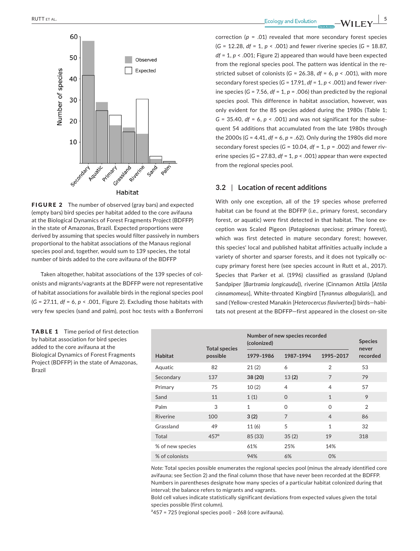

FIGURE 2 The number of observed (gray bars) and expected (empty bars) bird species per habitat added to the core avifauna at the Biological Dynamics of Forest Fragments Project (BDFFP) in the state of Amazonas, Brazil. Expected proportions were derived by assuming that species would filter passively in numbers proportional to the habitat associations of the Manaus regional species pool and, together, would sum to 139 species, the total number of birds added to the core avifauna of the BDFFP

Taken altogether, habitat associations of the 139 species of col‐ onists and migrants/vagrants at the BDFFP were not representative of habitat associations for available birds in the regional species pool (*G* = 27.11, *df* = 6, *p* < .001, Figure 2). Excluding those habitats with very few species (sand and palm), post hoc tests with a Bonferroni

TABLE 1 Time period of first detection by habitat association for bird species added to the core avifauna at the Biological Dynamics of Forest Fragments Project (BDFFP) in the state of Amazonas, Brazil

correction (*p* = .01) revealed that more secondary forest species (*G* = 12.28, *df* = 1, *p* < .001) and fewer riverine species (*G* = 18.87, *df* = 1, *p* < .001; Figure 2) appeared than would have been expected from the regional species pool. The pattern was identical in the re‐ stricted subset of colonists ( $G = 26.38$ ,  $df = 6$ ,  $p < .001$ ), with more secondary forest species (*G* = 17.91, *df* = 1, *p* < .001) and fewer river‐ ine species ( $G = 7.56$ ,  $df = 1$ ,  $p = .006$ ) than predicted by the regional species pool. This difference in habitat association, however, was only evident for the 85 species added during the 1980s (Table 1;  $G = 35.40$ , *df* = 6, *p* < .001) and was not significant for the subsequent 54 additions that accumulated from the late 1980s through the 2000s (*G* = 4.41, *df* = 6, *p* = .62). Only during the 1980s did more secondary forest species (*G* = 10.04, *df* = 1, *p* = .002) and fewer riv‐ erine species (*G* = 27.83, *df* = 1, *p* < .001) appear than were expected from the regional species pool.

## **3.2** | **Location of recent additions**

With only one exception, all of the 19 species whose preferred habitat can be found at the BDFFP (i.e., primary forest, secondary forest, or aquatic) were first detected in that habitat. The lone ex‐ ception was Scaled Pigeon (*Patagioenas speciosa*; primary forest), which was first detected in mature secondary forest; however, this species' local and published habitat affinities actually include a variety of shorter and sparser forests, and it does not typically oc‐ cupy primary forest here (see species account in Rutt et al., 2017). Species that Parker et al. (1996) classified as grassland (Upland Sandpiper [*Bartramia longicauda*]), riverine (Cinnamon Attila [*Attila cinnamomeus*], White‐throated Kingbird [*Tyrannus albogularis*]), and sand (Yellow‐crested Manakin [*Heterocercus flavivertex*]) birds—habi‐ tats not present at the BDFFP—first appeared in the closest on‐site

|                  | <b>Total species</b> | Number of new species recorded<br>(colonized) | <b>Species</b><br>never |                |                |
|------------------|----------------------|-----------------------------------------------|-------------------------|----------------|----------------|
| <b>Habitat</b>   | possible             | 1979-1986                                     | 1987-1994               | 1995-2017      | recorded       |
| Aquatic          | 82                   | 21(2)                                         | 6                       | $\overline{2}$ | 53             |
| Secondary        | 137                  | 38 (20)                                       | 13(2)                   | $\overline{7}$ | 79             |
| Primary          | 75                   | 10(2)                                         | 4                       | 4              | 57             |
| Sand             | 11                   | 1(1)                                          | $\Omega$                | $\mathbf{1}$   | 9              |
| Palm             | 3                    | $\mathbf{1}$                                  | $\Omega$                | $\Omega$       | $\overline{2}$ |
| Riverine         | 100                  | 3(2)                                          | $\overline{7}$          | $\overline{4}$ | 86             |
| Grassland        | 49                   | 11(6)                                         | 5                       | $\mathbf{1}$   | 32             |
| Total            | 457 <sup>a</sup>     | 85 (33)                                       | 35(2)                   | 19             | 318            |
| % of new species |                      | 61%                                           | 25%                     | 14%            |                |
| % of colonists   |                      | 94%                                           | 6%                      | 0%             |                |

*Note:* Total species possible enumerates the regional species pool (minus the already identified core avifauna; see Section 2) and the final column those that have never been recorded at the BDFFP. Numbers in parentheses designate how many species of a particular habitat colonized during that interval; the balance refers to migrants and vagrants.

Bold cell values indicate statistically significant deviations from expected values given the total species possible (first column).

<sup>a</sup>457 = 725 (regional species pool) - 268 (core avifauna).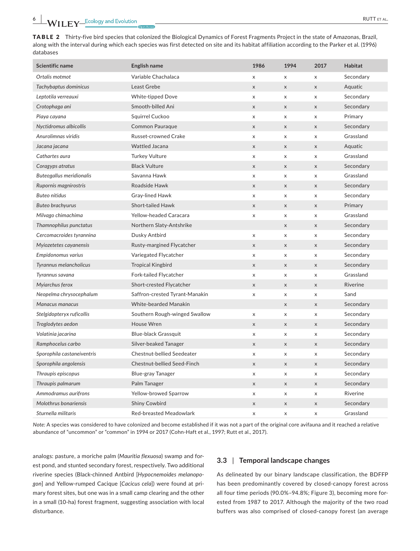TABLE 2 Thirty-five bird species that colonized the Biological Dynamics of Forest Fragments Project in the state of Amazonas, Brazil, along with the interval during which each species was first detected on site and its habitat affiliation according to the Parker et al. (1996) databases

| Scientific name            | English name                   | 1986                      | 1994                      | 2017                      | <b>Habitat</b> |
|----------------------------|--------------------------------|---------------------------|---------------------------|---------------------------|----------------|
| Ortalis motmot             | Variable Chachalaca            | X                         | x                         | $\pmb{\times}$            | Secondary      |
| Tachybaptus dominicus      | Least Grebe                    | $\pmb{\times}$            | $\boldsymbol{\mathsf{X}}$ | $\mathsf X$               | Aquatic        |
| Leptotila verreauxi        | <b>White-tipped Dove</b>       | X                         | X                         | $\pmb{\times}$            | Secondary      |
| Crotophaga ani             | Smooth-billed Ani              | $\mathsf X$               | $\boldsymbol{\mathsf{X}}$ | $\pmb{\times}$            | Secondary      |
| Piaya cayana               | Squirrel Cuckoo                | X                         | X                         | $\pmb{\times}$            | Primary        |
| Nyctidromus albicollis     | Common Pauraque                | $\mathsf X$               | X                         | $\boldsymbol{\mathsf{X}}$ | Secondary      |
| Anurolimnas viridis        | Russet-crowned Crake           | X                         | X                         | $\pmb{\times}$            | Grassland      |
| Jacana jacana              | <b>Wattled Jacana</b>          | $\mathsf X$               | X                         | $\boldsymbol{\mathsf{X}}$ | Aquatic        |
| Cathartes aura             | <b>Turkey Vulture</b>          | X                         | X                         | X                         | Grassland      |
| Coragyps atratus           | <b>Black Vulture</b>           | $\pmb{\times}$            | $\boldsymbol{\mathsf{X}}$ | $\mathsf{x}$              | Secondary      |
| Buteogallus meridionalis   | Savanna Hawk                   | X                         | x                         | X                         | Grassland      |
| Rupornis magnirostris      | Roadside Hawk                  | $\mathsf X$               | X                         | $\mathsf X$               | Secondary      |
| <b>Buteo nitidus</b>       | Gray-lined Hawk                | X                         | X                         | $\boldsymbol{\mathsf{x}}$ | Secondary      |
| <b>Buteo brachyurus</b>    | <b>Short-tailed Hawk</b>       | $\mathsf X$               | X                         | $\mathsf X$               | Primary        |
| Milvago chimachima         | <b>Yellow-headed Caracara</b>  | $\pmb{\times}$            | X                         | $\mathsf X$               | Grassland      |
| Thamnophilus punctatus     | Northern Slaty-Antshrike       |                           | X                         | $\boldsymbol{\mathsf{X}}$ | Secondary      |
| Cercomacroides tyrannina   | Dusky Antbird                  | X                         | X                         | $\pmb{\times}$            | Secondary      |
| Myiozetetes cayanensis     | Rusty-margined Flycatcher      | $\pmb{\times}$            | X                         | $\boldsymbol{\mathsf{X}}$ | Secondary      |
| Empidonomus varius         | Variegated Flycatcher          | X                         | X                         | $\mathsf X$               | Secondary      |
| Tyrannus melancholicus     | <b>Tropical Kingbird</b>       | $\mathsf X$               | $\mathsf X$               | $\mathsf X$               | Secondary      |
| Tyrannus savana            | <b>Fork-tailed Flycatcher</b>  | X                         | X                         | $\boldsymbol{\mathsf{x}}$ | Grassland      |
| Myiarchus ferox            | Short-crested Flycatcher       | $\boldsymbol{\mathsf{X}}$ | X                         | $\mathsf X$               | Riverine       |
| Neopelma chrysocephalum    | Saffron-crested Tyrant-Manakin | X                         | $\pmb{\times}$            | $\mathsf X$               | Sand           |
| Manacus manacus            | <b>White-bearded Manakin</b>   |                           | X                         | $\mathsf X$               | Secondary      |
| Stelgidopteryx ruficollis  | Southern Rough-winged Swallow  | X                         | X                         | $\pmb{\mathsf{X}}$        | Secondary      |
| Troglodytes aedon          | House Wren                     | $\pmb{\times}$            | $\mathsf X$               | $\mathsf X$               | Secondary      |
| Volatinia jacarina         | <b>Blue-black Grassquit</b>    | X                         | X                         | $\boldsymbol{\mathsf{X}}$ | Secondary      |
| Ramphocelus carbo          | Silver-beaked Tanager          | $\mathsf X$               | X                         | $\mathsf X$               | Secondary      |
| Sporophila castaneiventris | Chestnut-bellied Seedeater     | X                         | X                         | $\boldsymbol{\mathsf{X}}$ | Secondary      |
| Sporophila angolensis      | Chestnut-bellied Seed-Finch    | $\mathsf X$               | $\mathsf X$               | $\mathsf X$               | Secondary      |
| Thraupis episcopus         | Blue-gray Tanager              | X                         | X                         | $\pmb{\times}$            | Secondary      |
| Thraupis palmarum          | Palm Tanager                   | $\mathsf{x}$              | X                         | $\mathsf{x}$              | Secondary      |
| Ammodramus aurifrons       | Yellow-browed Sparrow          | X                         | X                         | $\boldsymbol{\mathsf{X}}$ | Riverine       |
| Molothrus bonariensis      | <b>Shiny Cowbird</b>           | $\mathsf X$               | X                         | $\mathsf X$               | Secondary      |
| Sturnella militaris        | Red-breasted Meadowlark        | X                         | x                         | X                         | Grassland      |

*Note:* A species was considered to have colonized and become established if it was not a part of the original core avifauna and it reached a relative abundance of "uncommon" or "common" in 1994 or 2017 (Cohn‐Haft et al., 1997; Rutt et al., 2017).

analogs: pasture, a moriche palm (*Mauritia flexuosa*) swamp and for‐ est pond, and stunted secondary forest, respectively. Two additional riverine species (Black‐chinned Antbird [*Hypocnemoides melanopo‐ gon*] and Yellow‐rumped Cacique [*Cacicus cela*]) were found at pri‐ mary forest sites, but one was in a small camp clearing and the other in a small (10‐ha) forest fragment, suggesting association with local disturbance.

## **3.3** | **Temporal landscape changes**

As delineated by our binary landscape classification, the BDFFP has been predominantly covered by closed‐canopy forest across all four time periods (90.0%–94.8%; Figure 3), becoming more for‐ ested from 1987 to 2017. Although the majority of the two road buffers was also comprised of closed‐canopy forest (an average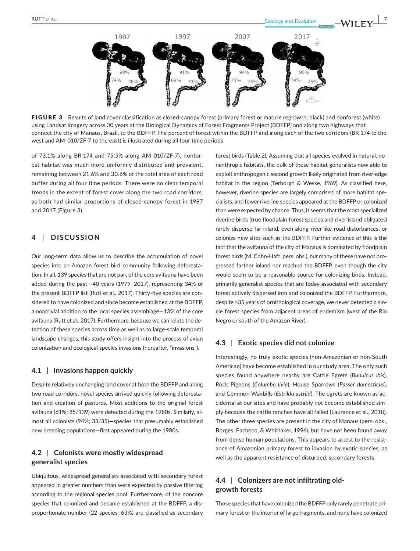

FIGURE 3 Results of land cover classification as closed-canopy forest (primary forest or mature regrowth; black) and nonforest (white) using Landsat imagery across 30 years at the Biological Dynamics of Forest Fragments Project (BDFFP) and along two highways that connect the city of Manaus, Brazil, to the BDFFP. The percent of forest within the BDFFP and along each of the two corridors (BR‐174 to the west and AM‐010/ZF‐7 to the east) is illustrated during all four time periods

of 73.1% along BR‐174 and 75.5% along AM‐010/ZF‐7), nonfor‐ est habitat was much more uniformly distributed and prevalent, remaining between 21.6% and 30.6% of the total area of each road buffer during all four time periods. There were no clear temporal trends in the extent of forest cover along the two road corridors, as both had similar proportions of closed‐canopy forest in 1987 and 2017 (Figure 3).

# **4** | **DISCUSSION**

Our long‐term data allow us to describe the accumulation of novel species into an Amazon forest bird community following deforestation. In all, 139 species that are not part of the core avifauna have been added during the past ~40 years (1979–2017), representing 34% of the present BDFFP list (Rutt et al., 2017). Thirty-five species are considered to have colonized and since become established at the BDFFP, a nontrivial addition to the local species assemblage—13% of the core avifauna (Rutt et al., 2017). Furthermore, because we can relate the de‐ tection of these species across time as well as to large‐scale temporal landscape changes, this study offers insight into the process of avian colonization and ecological species invasions (hereafter, "invasions").

#### **4.1** | **Invasions happen quickly**

Despite relatively unchanging land cover at both the BDFFP and along two road corridors, novel species arrived quickly following deforesta‐ tion and creation of pastures. Most additions to the original forest avifauna (61%; 85/139) were detected during the 1980s. Similarly, al‐ most all colonists (94%; 33/35)—species that presumably established new breeding populations—first appeared during the 1980s.

# **4.2** | **Colonists were mostly widespread generalist species**

Ubiquitous, widespread generalists associated with secondary forest appeared in greater numbers than were expected by passive filtering according to the regional species pool. Furthermore, of the noncore species that colonized and became established at the BDFFP, a dis‐ proportionate number (22 species; 63%) are classified as secondary

forest birds (Table 2). Assuming that all species evolved in natural, no‐ nanthropic habitats, the bulk of these habitat generalists now able to exploit anthropogenic second growth likely originated from river‐edge habitat in the region (Terborgh & Weske, 1969). As classified here, however, riverine species are largely comprised of more habitat spe‐ cialists, and fewer riverine species appeared at the BDFFP or colonized than were expected by chance. Thus, it seems that the most specialized riverine birds (true floodplain forest species and river island obligates) rarely disperse far inland, even along river‐like road disturbances, or colonize new sites such as the BDFFP. Further evidence of this is the fact that the avifauna of the city of Manaus is dominated by floodplain forest birds (M. Cohn-Haft, pers. obs.), but many of these have not progressed farther inland nor reached the BDFFP, even though the city would seem to be a reasonable source for colonizing birds. Instead, primarily generalist species that are today associated with secondary forest actively dispersed into and colonized the BDFFP. Furthermore, despite >35 years of ornithological coverage, we never detected a sin‐ gle forest species from adjacent areas of endemism (west of the Rio Negro or south of the Amazon River).

#### **4.3** | **Exotic species did not colonize**

Interestingly, no truly exotic species (non‐Amazonian or non‐South American) have become established in our study area. The only such species found anywhere nearby are Cattle Egrets (*Bubulcus ibis*), Rock Pigeons (*Columba livia*), House Sparrows (*Passer domesticus*), and Common Waxbills (*Estrilda astrild*). The egrets are known as ac‐ cidental at our sites and have probably not become established sim‐ ply because the cattle ranches have all failed (Laurance et al., 2018). The other three species are present in the city of Manaus (pers. obs., Borges, Pacheco, & Whittaker, 1996), but have not been found away from dense human populations. This appears to attest to the resistance of Amazonian primary forest to invasion by exotic species, as well as the apparent resistance of disturbed, secondary forests.

# **4.4** | **Colonizers are not infiltrating old‐ growth forests**

Those species that have colonized the BDFFP only rarely penetrate pri‐ mary forest or the interior of large fragments, and none have colonized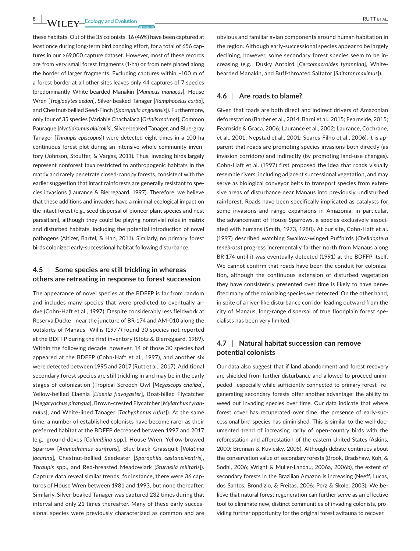these habitats. Out of the 35 colonists, 16 (46%) have been captured at least once during long-term bird banding effort, for a total of 656 captures in our >69,000 capture dataset. However, most of these records are from very small forest fragments (1‐ha) or from nets placed along the border of larger fragments. Excluding captures within ~100 m of a forest border at all other sites leaves only 44 captures of 7 species (predominantly White‐bearded Manakin [*Manacus manacus*], House Wren [*Troglodytes aedon*], Silver‐beaked Tanager [*Ramphocelus carbo*], and Chestnut‐bellied Seed‐Finch [*Sporophila angolensis*]). Furthermore, only four of 35 species (Variable Chachalaca [*Ortalis motmot*], Common Pauraque [*Nyctidromus albicollis*], Silver‐beaked Tanager, and Blue‐gray Tanager [*Thraupis episcopus*]) were detected eight times in a 100‐ha continuous forest plot during an intensive whole‐community inven‐ tory (Johnson, Stouffer, & Vargas, 2011). Thus, invading birds largely represent nonforest taxa restricted to anthropogenic habitats in the matrix and rarely penetrate closed‐canopy forests, consistent with the earlier suggestion that intact rainforests are generally resistant to spe‐ cies invasions (Laurance & Bierregaard, 1997). Therefore, we believe that these additions and invaders have a minimal ecological impact on the intact forest (e.g., seed dispersal of pioneer plant species and nest parasitism), although they could be playing nontrivial roles in matrix and disturbed habitats, including the potential introduction of novel pathogens (Altizer, Bartel, & Han, 2011). Similarly, no primary forest birds colonized early‐successional habitat following disturbance.

# **4.5** | **Some species are still trickling in whereas others are retreating in response to forest succession**

The appearance of novel species at the BDFFP is far from random and includes many species that were predicted to eventually arrive (Cohn‐Haft et al., 1997). Despite considerably less fieldwork at Reserva Ducke—near the juncture of BR‐174 and AM‐010 along the outskirts of Manaus—Willis (1977) found 30 species not reported at the BDFFP during the first inventory (Stotz & Bierregaard, 1989). Within the following decade, however, 14 of those 30 species had appeared at the BDFFP (Cohn‐Haft et al., 1997), and another six were detected between 1995 and 2017 (Rutt et al., 2017). Additional secondary forest species are still trickling in and may be in the early stages of colonization (Tropical Screech‐Owl [*Megascops choliba*], Yellow‐bellied Elaenia [*Elaenia flavogaster*], Boat‐billed Flycatcher [*Megarynchus pitangua*], Brown‐crested Flycatcher [*Myiarchus tyran‐ nulus*], and White‐lined Tanager [*Tachyphonus rufus*]). At the same time, a number of established colonists have become rarer as their preferred habitat at the BDFFP decreased between 1997 and 2017 (e.g., ground‐doves [*Columbina* spp.], House Wren, Yellow‐browed Sparrow [*Ammodramus aurifrons*], Blue‐black Grassquit [*Volatinia jacarina*], Chestnut‐bellied Seedeater [*Sporophila castaneiventris*], *Thraupis* spp., and Red‐breasted Meadowlark [*Sturnella militaris*]). Capture data reveal similar trends; for instance, there were 36 cap‐ tures of House Wren between 1981 and 1993, but none thereafter. Similarly, Silver‐beaked Tanager was captured 232 times during that interval and only 21 times thereafter. Many of these early-successional species were previously characterized as common and are

obvious and familiar avian components around human habitation in the region. Although early‐successional species appear to be largely declining, however, some secondary forest species seem to be in‐ creasing (e.g., Dusky Antbird [*Cercomacroides tyrannina*], White‐ bearded Manakin, and Buff‐throated Saltator [*Saltator maximus*]).

## **4.6** | **Are roads to blame?**

Given that roads are both direct and indirect drivers of Amazonian deforestation (Barber et al., 2014; Barni et al., 2015; Fearnside, 2015; Fearnside & Graca, 2006; Laurance et al., 2002; Laurance, Cochrane, et al., 2001; Nepstad et al., 2001; Soares‐Filho et al., 2006), it is ap‐ parent that roads are promoting species invasions both directly (as invasion corridors) and indirectly (by promoting land‐use changes). Cohn‐Haft et al. (1997) first proposed the idea that roads visually resemble rivers, including adjacent successional vegetation, and may serve as biological conveyor belts to transport species from extensive areas of disturbance near Manaus into previously undisturbed rainforest. Roads have been specifically implicated as catalysts for some invasions and range expansions in Amazonia, in particular, the advancement of House Sparrows, a species exclusively associ‐ ated with humans (Smith, 1973, 1980). At our site, Cohn‐Haft et al. (1997) described watching Swallow‐winged Puffbirds (*Chelidoptera tenebrosa*) progress incrementally farther north from Manaus along BR‐174 until it was eventually detected (1991) at the BDFFP itself. We cannot confirm that roads have been the conduit for colonization, although the continuous extension of disturbed vegetation they have consistently presented over time is likely to have bene‐ fited many of the colonizing species we detected. On the other hand, in spite of a river‐like disturbance corridor leading outward from the city of Manaus, long‐range dispersal of true floodplain forest spe‐ cialists has been very limited.

# **4.7** | **Natural habitat succession can remove potential colonists**

Our data also suggest that if land abandonment and forest recovery are shielded from further disturbance and allowed to proceed unim‐ peded—especially while sufficiently connected to primary forest—re‐ generating secondary forests offer another advantage: the ability to weed out invading species over time. Our data indicate that where forest cover has recuperated over time, the presence of early‐suc‐ cessional bird species has diminished. This is similar to the well‐doc‐ umented trend of increasing rarity of open‐country birds with the reforestation and afforestation of the eastern United States (Askins, 2000; Brennan & Kuvlesky, 2005). Although debate continues about the conservation value of secondary forests (Brook, Bradshaw, Koh, & Sodhi, 2006; Wright & Muller‐Landau, 2006a, 2006b), the extent of secondary forests in the Brazilian Amazon is increasing (Neeff, Lucas, dos Santos, Brondizio, & Freitas, 2006; Perz & Skole, 2003). We be‐ lieve that natural forest regeneration can further serve as an effective tool to eliminate new, distinct communities of invading colonists, pro‐ viding further opportunity for the original forest avifauna to recover.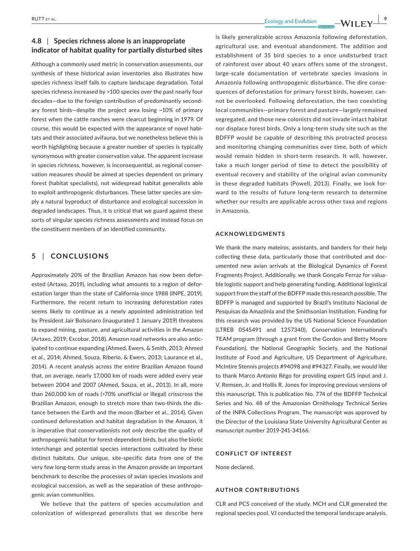# **4.8** | **Species richness alone is an inappropriate indicator of habitat quality for partially disturbed sites**

Although a commonly used metric in conservation assessments, our synthesis of these historical avian inventories also illustrates how species richness itself fails to capture landscape degradation. Total species richness increased by >100 species over the past nearly four decades—due to the foreign contribution of predominantly second‐ ary forest birds—despite the project area losing ~10% of primary forest when the cattle ranches were clearcut beginning in 1979. Of course, this would be expected with the appearance of novel habi‐ tats and their associated avifauna, but we nonetheless believe this is worth highlighting because a greater number of species is typically synonymous with greater conservation value. The apparent increase in species richness, however, is inconsequential, as regional conser‐ vation measures should be aimed at species dependent on primary forest (habitat specialists), not widespread habitat generalists able to exploit anthropogenic disturbances. These latter species are sim‐ ply a natural byproduct of disturbance and ecological succession in degraded landscapes. Thus, it is critical that we guard against these sorts of singular species richness assessments and instead focus on the constituent members of an identified community.

## **5** | **CONCLUSIONS**

Approximately 20% of the Brazilian Amazon has now been defor‐ ested (Artaxo, 2019), including what amounts to a region of defor‐ estation larger than the state of California since 1988 (INPE, 2019). Furthermore, the recent return to increasing deforestation rates seems likely to continue as a newly appointed administration led by President Jair Bolsonaro (inaugurated 1 January 2019) threatens to expand mining, pasture, and agricultural activities in the Amazon (Artaxo, 2019; Escobar, 2018). Amazon road networks are also antic‐ ipated to continue expanding (Ahmed, Ewers, & Smith, 2013; Ahmed et al., 2014; Ahmed, Souza, Riberio, & Ewers, 2013; Laurance et al., 2014). A recent analysis across the entire Brazilian Amazon found that, on average, nearly 17,000 km of roads were added every year between 2004 and 2007 (Ahmed, Souza, et al., 2013). In all, more than 260,000 km of roads (>70% unofficial or illegal) crisscross the Brazilian Amazon, enough to stretch more than two-thirds the distance between the Earth and the moon (Barber et al., 2014). Given continued deforestation and habitat degradation in the Amazon, it is imperative that conservationists not only describe the quality of anthropogenic habitat for forest‐dependent birds, but also the biotic interchange and potential species interactions cultivated by these distinct habitats. Our unique, site‐specific data from one of the very few long‐term study areas in the Amazon provide an important benchmark to describe the processes of avian species invasions and ecological succession, as well as the separation of these anthropo‐ genic avian communities.

We believe that the pattern of species accumulation and colonization of widespread generalists that we describe here

 **RUTT** ET AL.  **ALL CONSUMPTED ASSAULT EXECUTER ALL CONSUMPTED ASSAULT EXECUTER ALL CONSUMPTED ASSAULT EXECUTER ALL CONSUMPTED ASSAULT EXECUTER ALL CONSUMPTED ASSAULT EXECUTE ASSAULT EXECUTE A LEGISLATION CONSUMPTED ASSAU** 

is likely generalizable across Amazonia following deforestation, agricultural use, and eventual abandonment. The addition and establishment of 35 bird species to a once undisturbed tract of rainforest over about 40 years offers some of the strongest, large‐scale documentation of vertebrate species invasions in Amazonia following anthropogenic disturbance. The dire conse‐ quences of deforestation for primary forest birds, however, can‐ not be overlooked. Following deforestation, the two coexisting local communities—primary forest and pasture—largely remained segregated, and those new colonists did not invade intact habitat nor displace forest birds. Only a long‐term study site such as the BDFFP would be capable of describing this protracted process and monitoring changing communities over time, both of which would remain hidden in short-term research. It will, however, take a much longer period of time to detect the possibility of eventual recovery and stability of the original avian community in these degraded habitats (Powell, 2013). Finally, we look for‐ ward to the results of future long-term research to determine whether our results are applicable across other taxa and regions in Amazonia.

#### **ACKNOWLEDGMENTS**

We thank the many *mateiros*, assistants, and banders for their help collecting these data, particularly those that contributed and doc‐ umented new avian arrivals at the Biological Dynamics of Forest Fragments Project. Additionally, we thank Gonçalo Ferraz for valua‐ ble logistic support and help generating funding. Additional logistical support from the staff of the BDFFP made this research possible. The BDFFP is managed and supported by Brazil's Instituto Nacional de Pesquisas da Amazônia and the Smithsonian Institution. Funding for this research was provided by the US National Science Foundation (LTREB 0545491 and 1257340), Conservation International's TEAM program (through a grant from the Gordon and Betty Moore Foundation), the National Geographic Society, and the National Institute of Food and Agriculture, US Department of Agriculture, McIntire Stennis projects #94098 and #94327. Finally, we would like to thank Marco Antonio Rêgo for providing expert GIS input and J. V. Remsen, Jr. and Hollis R. Jones for improving previous versions of this manuscript. This is publication No. 774 of the BDFFP Technical Series and No. 48 of the Amazonian Ornithology Technical Series of the INPA Collections Program. The manuscript was approved by the Director of the Louisiana State University Agricultural Center as manuscript number 2019‐241‐34166.

#### **CONFLICT OF INTEREST**

None declared.

#### **AUTHOR CONTRIBUTIONS**

CLR and PCS conceived of the study. MCH and CLR generated the regional species pool. VJ conducted the temporal landscape analysis.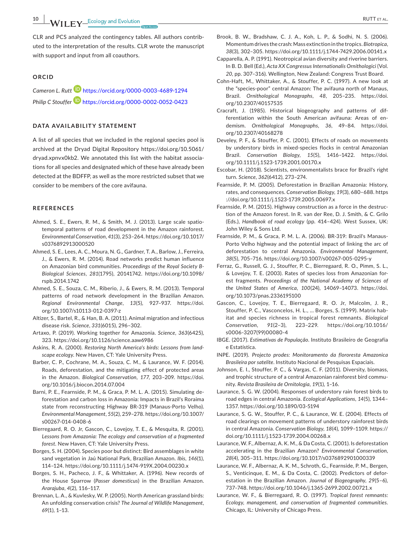with support and input from all coauthors.

CLR and PCS analyzed the contingency tables. All authors contrib‐

uted to the interpretation of the results. CLR wrote the manuscript

#### **ORCID**

*Cameron L. Rut[t](https://orcid.org/0000-0003-4689-1294)* <https://orcid.org/0000-0003-4689-1294> *Philip C Stouffer* <https://orcid.org/0000-0002-0052-0423>

#### **DATA AVAILABILITY STATEMENT**

A list of all species that we included in the regional species pool is archived at the Dryad Digital Repository [https://doi.org/10.5061/](https://doi.org/10.5061/dryad.xpnvx0kb2) [dryad.xpnvx0kb2.](https://doi.org/10.5061/dryad.xpnvx0kb2) We annotated this list with the habitat associa‐ tions for all species and designated which of these have already been detected at the BDFFP, as well as the more restricted subset that we consider to be members of the core avifauna.

### **REFERENCES**

- Ahmed, S. E., Ewers, R. M., & Smith, M. J. (2013). Large scale spatio‐ temporal patterns of road development in the Amazon rainforest. *Environmental Conservation*, *41*(3), 253–264. [https://doi.org/10.1017/](https://doi.org/10.1017/s0376892913000520) [s0376892913000520](https://doi.org/10.1017/s0376892913000520)
- Ahmed, S. E., Lees, A. C., Moura, N. G., Gardner, T. A., Barlow, J., Ferreira, J., & Ewers, R. M. (2014). Road networks predict human influence on Amazonian bird communities. *Proceedings of the Royal Society B‐ Biological Sciences*, *281*(1795), 20141742. [https://doi.org/10.1098/](https://doi.org/10.1098/rspb.2014.1742) [rspb.2014.1742](https://doi.org/10.1098/rspb.2014.1742)
- Ahmed, S. E., Souza, C. M., Riberio, J., & Ewers, R. M. (2013). Temporal patterns of road network development in the Brazilian Amazon. *Regional Environmental Change*, *13*(5), 927–937. [https://doi.](https://doi.org/10.1007/s10113-012-0397-z) [org/10.1007/s10113-012-0397-z](https://doi.org/10.1007/s10113-012-0397-z)
- Altizer, S., Bartel, R., & Han, B. A. (2011). Animal migration and infectious disease risk. *Science*, *331*(6015), 296–302.
- Artaxo, P. (2019). Working together for Amazonia. *Science*, *363*(6425), 323. <https://doi.org/10.1126/science.aaw6986>
- Askins, R. A. (2000). *Restoring North America's birds: Lessons from land‐ scape ecology*. New Haven, CT: Yale University Press.
- Barber, C. P., Cochrane, M. A., Souza, C. M., & Laurance, W. F. (2014). Roads, deforestation, and the mitigating effect of protected areas in the Amazon. *Biological Conservation*, *177*, 203–209. [https://doi.](https://doi.org/10.1016/j.biocon.2014.07.004) [org/10.1016/j.biocon.2014.07.004](https://doi.org/10.1016/j.biocon.2014.07.004)
- Barni, P. E., Fearnside, P. M., & Graca, P. M. L. A. (2015). Simulating de‐ forestation and carbon loss in Amazonia: Impacts in Brazil's Roraima state from reconstructing Highway BR‐319 (Manaus‐Porto Velho). *Environmental Management*, *55*(2), 259–278. [https://doi.org/10.1007/](https://doi.org/10.1007/s00267-014-0408-6) [s00267-014-0408-6](https://doi.org/10.1007/s00267-014-0408-6)
- Bierregaard, R. O. Jr, Gascon, C., Lovejoy, T. E., & Mesquita, R. (2001). *Lessons from Amazonia: The ecology and conservation of a fragmented forest*. New Haven, CT: Yale University Press.
- Borges, S. H. (2004). Species poor but distinct: Bird assemblages in white sand vegetation in Jaú National Park, Brazilian Amazon. *Ibis*, *146*(1), 114–124. <https://doi.org/10.1111/j.1474-919X.2004.00230.x>
- Borges, S. H., Pacheco, J. F., & Whittaker, A. (1996). New records of the House Sparrow (*Passer domesticus*) in the Brazilian Amazon. *Ararajuba*, *4*(2), 116–117.
- Brennan, L. A., & Kuvlesky, W. P. (2005). North American grassland birds: An unfolding conservation crisis? *The Journal of Wildlife Management*, *69*(1), 1–13.
- 
- Brook, B. W., Bradshaw, C. J. A., Koh, L. P., & Sodhi, N. S. (2006). Momentum drives the crash:Mass extinction in the tropics.*Biotropica*, *38*(3), 302–305. <https://doi.org/10.1111/j.1744-7429.2006.00141.x>
- Capparella, A. P. (1991). Neotropical avian diversity and riverine barriers. In B. D. Bell (Ed.), *Acta XX Congressus Internationalis Ornithologici* (Vol. *20*, pp. 307–316). Wellington, New Zealand: Congress Trust Board.
- Cohn‐Haft, M., Whittaker, A., & Stouffer, P. C. (1997). A new look at the "species‐poor" central Amazon: The avifauna north of Manaus, Brazil. *Ornithological Monographs*, *48*, 205–235. [https://doi.](https://doi.org/10.2307/40157535) [org/10.2307/40157535](https://doi.org/10.2307/40157535)
- Cracraft, J. (1985). Historical biogeography and patterns of dif‐ ferentiation within the South American avifauna: Areas of en‐ demism. *Ornithological Monographs*, *36*, 49–84. [https://doi.](https://doi.org/10.2307/40168278) [org/10.2307/40168278](https://doi.org/10.2307/40168278)
- Develey, P. F., & Stouffer, P. C. (2001). Effects of roads on movements by understory birds in mixed‐species flocks in central Amazonian Brazil. *Conservation Biology*, *15*(5), 1416–1422. [https://doi.](https://doi.org/10.1111/j.1523-1739.2001.00170.x) [org/10.1111/j.1523-1739.2001.00170.x](https://doi.org/10.1111/j.1523-1739.2001.00170.x)
- Escobar, H. (2018). Scientists, environmentalists brace for Brazil's right turn. *Science*, *362*(6412), 273–274.
- Fearnside, P. M. (2005). Deforestation in Brazilian Amazonia: History, rates, and consequences. *Conservation Biology*, *19*(3), 680–688. [https](https://doi.org/10.1111/j.1523-1739.2005.00697.x) [://doi.org/10.1111/j.1523-1739.2005.00697.x](https://doi.org/10.1111/j.1523-1739.2005.00697.x)
- Fearnside, P. M. (2015). Highway construction as a force in the destruc‐ tion of the Amazon forest. In R. van der Ree, D. J. Smith, & C. Grilo (Eds.), *Handbook of road ecology* (pp. 414–424). West Sussex, UK: John Wiley & Sons Ltd.
- Fearnside, P. M., & Graca, P. M. L. A. (2006). BR‐319: Brazil's Manaus‐ Porto Velho highway and the potential impact of linking the arc of deforestation to central Amazonia. *Environmental Management*, *38*(5), 705–716. <https://doi.org/10.1007/s00267-005-0295-y>
- Ferraz, G., Russell, G. J., Stouffer, P. C., Bierregaard, R. O., Pimm, S. L., & Lovejoy, T. E. (2003). Rates of species loss from Amazonian for‐ est fragments. *Proceedings of the National Academy of Sciences of the United States of America*, *100*(24), 14069–14073. [https://doi.](https://doi.org/10.1073/pnas.2336195100) [org/10.1073/pnas.2336195100](https://doi.org/10.1073/pnas.2336195100)
- Gascon, C., Lovejoy, T. E., Bierregaard, R. O. Jr, Malcolm, J. R., Stouffer, P. C., Vasconcelos, H. L., … Borges, S. (1999). Matrix hab‐ itat and species richness in tropical forest remnants. *Biological Conservation*, *91*(2–3), 223–229. [https://doi.org/10.1016/](https://doi.org/10.1016/s0006-3207(99)00080-4) [s0006-3207\(99\)00080-4](https://doi.org/10.1016/s0006-3207(99)00080-4)
- IBGE. (2017). *Estimativas de População*. Instituto Brasileiro de Geografia e Estatística.
- INPE. (2019). *Projecto prodes: Monitoramento da flororesta Amazonica Brasileira por satelite*. Instituto Nacional de Pesquisas Espaciais.
- Johnson, E. I., Stouffer, P. C., & Vargas, C. F. (2011). Diversity, biomass, and trophic structure of a central Amazonian rainforest bird community. *Revista Brasileira de Ornitologia*, *19*(1), 1–16.
- Laurance, S. G. W. (2004). Responses of understory rain forest birds to road edges in central Amazonia. *Ecological Applications*, *14*(5), 1344– 1357. <https://doi.org/10.1890/03-5194>
- Laurance, S. G. W., Stouffer, P. C., & Laurance, W. E. (2004). Effects of road clearings on movement patterns of understory rainforest birds in central Amazonia. *Conservation Biology*, *18*(4), 1099–1109. [https://](https://doi.org/10.1111/j.1523-1739.2004.00268.x) [doi.org/10.1111/j.1523-1739.2004.00268.x](https://doi.org/10.1111/j.1523-1739.2004.00268.x)
- Laurance, W. F., Albernaz, A. K. M., & Da Costa, C. (2001). Is deforestation accelerating in the Brazilian Amazon? *Environmental Conservation*, *28*(4), 305–311. <https://doi.org/10.1017/s0376892901000339>
- Laurance, W. F., Albernaz, A. K. M., Schroth, G., Fearnside, P. M., Bergen, S., Venticinque, E. M., & Da Costa, C. (2002). Predictors of defor‐ estation in the Brazilian Amazon. *Journal of Biogeography*, *29*(5–6), 737–748. <https://doi.org/10.1046/j.1365-2699.2002.00721.x>
- Laurance, W. F., & Bierregaard, R. O. (1997). *Tropical forest remnants: Ecology, management, and conservation of fragmented communities*. Chicago, IL: University of Chicago Press.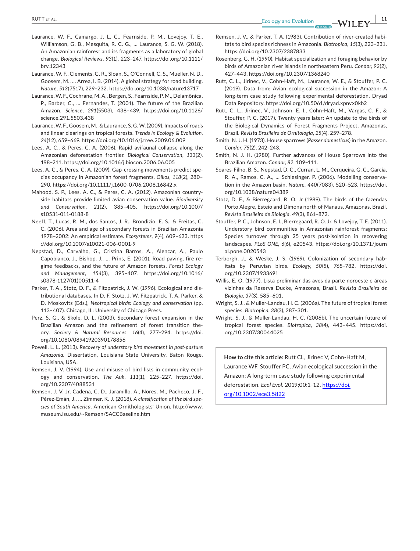- Laurance, W. F., Camargo, J. L. C., Fearnside, P. M., Lovejoy, T. E., Williamson, G. B., Mesquita, R. C. G., … Laurance, S. G. W. (2018). An Amazonian rainforest and its fragments as a laboratory of global change. *Biological Reviews*, *93*(1), 223–247. [https://doi.org/10.1111/](https://doi.org/10.1111/brv.12343) [brv.12343](https://doi.org/10.1111/brv.12343)
- Laurance, W. F., Clements, G. R., Sloan, S., O'Connell, C. S., Mueller, N. D., Goosem, M., … Arrea, I. B. (2014). A global strategy for road building. *Nature*, *513*(7517), 229–232. <https://doi.org/10.1038/nature13717>
- Laurance,W. F., Cochrane, M.A., Bergen, S., Fearnside, P. M., Delamônica, P., Barber, C., … Fernandes, T. (2001). The future of the Brazilian Amazon. *Science*, *291*(5503), 438–439. [https://doi.org/10.1126/](https://doi.org/10.1126/science.291.5503.438) [science.291.5503.438](https://doi.org/10.1126/science.291.5503.438)
- Laurance,W. F., Goosem, M., & Laurance, S. G.W. (2009). Impacts ofroads and linear clearings on tropical forests. *Trends in Ecology & Evolution*, *24*(12), 659–669. <https://doi.org/10.1016/j.tree.2009.06.009>
- Lees, A. C., & Peres, C. A. (2006). Rapid avifaunal collapse along the Amazonian deforestation frontier. *Biological Conservation*, *133*(2), 198–211. <https://doi.org/10.1016/j.biocon.2006.06.005>
- Lees, A. C., & Peres, C. A. (2009). Gap-crossing movements predict species occupancy in Amazonian forest fragments. *Oikos*, *118*(2), 280– 290. <https://doi.org/10.1111/j.1600-0706.2008.16842.x>
- Mahood, S. P., Lees, A. C., & Peres, C. A. (2012). Amazonian country‐ side habitats provide limited avian conservation value. *Biodiversity and Conservation*, *21*(2), 385–405. [https://doi.org/10.1007/](https://doi.org/10.1007/s10531-011-0188-8) [s10531-011-0188-8](https://doi.org/10.1007/s10531-011-0188-8)
- Neeff, T., Lucas, R. M., dos Santos, J. R., Brondizio, E. S., & Freitas, C. C. (2006). Area and age of secondary forests in Brazilian Amazonia 1978–2002: An empirical estimate. *Ecosystems*, *9*(4), 609–623. [https](https://doi.org/10.1007/s10021-006-0001-9) [://doi.org/10.1007/s10021-006-0001-9](https://doi.org/10.1007/s10021-006-0001-9)
- Nepstad, D., Carvalho, G., Cristina Barros, A., Alencar, A., Paulo Capobianco, J., Bishop, J., … Prins, E. (2001). Road paving, fire re‐ gime feedbacks, and the future of Amazon forests. *Forest Ecology and Management*, *154*(3), 395–407. [https://doi.org/10.1016/](https://doi.org/10.1016/s0378-1127(01)00511-4) [s0378-1127\(01\)00511-4](https://doi.org/10.1016/s0378-1127(01)00511-4)
- Parker, T. A., Stotz, D. F., & Fitzpatrick, J. W. (1996). Ecological and dis‐ tributional databases. In D. F. Stotz, J. W. Fitzpatrick, T. A. Parker, & D. Moskovits (Eds.), *Neotropical birds: Ecology and conservation* (pp. 113–407). Chicago, IL: University of Chicago Press.
- Perz, S. G., & Skole, D. L. (2003). Secondary forest expansion in the Brazilian Amazon and the refinement of forest transition the‐ ory. *Society & Natural Resources*, *16*(4), 277–294. [https://doi.](https://doi.org/10.1080/08941920390178856) [org/10.1080/08941920390178856](https://doi.org/10.1080/08941920390178856)
- Powell, L. L. (2013). *Recovery of understory bird movement in post‐pasture Amazonia*. Dissertation, Louisiana State University, Baton Rouge, Louisiana, USA.
- Remsen, J. V. (1994). Use and misuse of bird lists in community ecol‐ ogy and conservation. *The Auk*, *111*(1), 225–227. [https://doi.](https://doi.org/10.2307/4088531) [org/10.2307/4088531](https://doi.org/10.2307/4088531)
- Remsen, J. V. Jr, Cadena, C. D., Jaramillo, A., Nores, M., Pacheco, J. F., Pérez‐Emán, J., … Zimmer, K. J. (2018). *A classification of the bird spe‐ cies of South America*. American Ornithologists' Union. [http://www.](http://www.museum.lsu.edu/~Remsen/SACCBaseline.htm) [museum.lsu.edu/~Remsen/SACCBaseline.htm](http://www.museum.lsu.edu/~Remsen/SACCBaseline.htm)
- Remsen, J. V., & Parker, T. A. (1983). Contribution of river‐created habi‐ tats to bird species richness in Amazonia. *Biotropica*, *15*(3), 223–231. <https://doi.org/10.2307/2387833>
- Rosenberg, G. H. (1990). Habitat specialization and foraging behavior by birds of Amazonian river islands in northeastern Peru. *Condor*, *92*(2), 427–443. <https://doi.org/10.2307/1368240>
- Rutt, C. L., Jirinec, V., Cohn‐Haft, M., Laurance, W. E., & Stouffer, P. C. (2019). Data from: Avian ecological succession in the Amazon: A long‐term case study following experimental deforestation. Dryad Data Repository. <https://doi.org/10.5061/dryad.xpnvx0kb2>
- Rutt, C. L., Jirinec, V., Johnson, E. I., Cohn‐Haft, M., Vargas, C. F., & Stouffer, P. C. (2017). Twenty years later: An update to the birds of the Biological Dynamics of Forest Fragments Project, Amazonas, Brazil. *Revista Brasileira de Ornitologia*, *25*(4), 259–278.
- Smith, N. J. H. (1973). House sparrows (*Passer domesticus*) in the Amazon. *Condor*, *75*(2), 242–243.
- Smith, N. J. H. (1980). Further advances of House Sparrows into the Brazilian Amazon. *Condor*, *82*, 109–111.
- Soares‐Filho, B. S., Nepstad, D. C., Curran, L. M., Cerqueira, G. C., Garcia, R. A., Ramos, C. A., … Schlesinger, P. (2006). Modelling conserva‐ tion in the Amazon basin. *Nature*, *440*(7083), 520–523. [https://doi.](https://doi.org/10.1038/nature04389) [org/10.1038/nature04389](https://doi.org/10.1038/nature04389)
- Stotz, D. F., & Bierregaard, R. O. Jr (1989). The birds of the fazendas Porto Alegre, Esteio and Dimona north of Manaus, Amazonas, Brazil. *Revista Brasileira de Biologia*, *49*(3), 861–872.
- Stouffer, P. C., Johnson, E. I., Bierregaard, R. O. Jr, & Lovejoy, T. E. (2011). Understory bird communities in Amazonian rainforest fragments: Species turnover through 25 years post-isolation in recovering landscapes. *PLoS ONE*, *6*(6), e20543. [https://doi.org/10.1371/journ](https://doi.org/10.1371/journal.pone.0020543) [al.pone.0020543](https://doi.org/10.1371/journal.pone.0020543)
- Terborgh, J., & Weske, J. S. (1969). Colonization of secondary hab‐ itats by Peruvian birds. *Ecology*, *50*(5), 765–782. [https://doi.](https://doi.org/10.2307/1933691) [org/10.2307/1933691](https://doi.org/10.2307/1933691)
- Willis, E. O. (1977). Lista preliminar das aves da parte noroeste e áreas vizinhas da Reserva Ducke, Amazonas, Brasil. *Revista Brasileira de Biologia*, *37*(3), 585–601.
- Wright, S. J., & Muller‐Landau, H. C. (2006a). The future of tropical forest species. *Biotropica*, *38*(3), 287–301.
- Wright, S. J., & Muller‐Landau, H. C. (2006b). The uncertain future of tropical forest species. *Biotropica*, *38*(4), 443–445. [https://doi.](https://doi.org/10.2307/30044025) [org/10.2307/30044025](https://doi.org/10.2307/30044025)

**How to cite this article:** Rutt CL, Jirinec V, Cohn‐Haft M, Laurance WF, Stouffer PC. Avian ecological succession in the Amazon: A long‐term case study following experimental deforestation. *Ecol Evol*. 2019;00:1–12. [https://doi.](https://doi.org/10.1002/ece3.5822)

[org/10.1002/ece3.5822](https://doi.org/10.1002/ece3.5822)